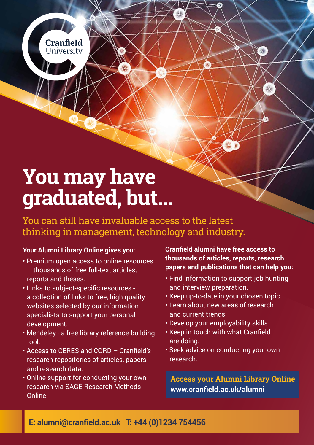**Cranfield University** 

# **You may have graduated, but…**

You can still have invaluable access to the latest thinking in management, technology and industry.

#### **Your Alumni Library Online gives you:**

- Premium open access to online resources – thousands of free full-text articles, reports and theses.
- Links to subject-specific resources a collection of links to free, high quality websites selected by our information specialists to support your personal development.
- Mendeley a free library reference-building tool.
- Access to CERES and CORD Cranfield's research repositories of articles, papers and research data.
- Online support for conducting your own research via SAGE Research Methods Online.

**Cranfield alumni have free access to thousands of articles, reports, research papers and publications that can help you:**

- Find information to support job hunting and interview preparation.
- Keep up-to-date in your chosen topic.
- Learn about new areas of research and current trends.
- Develop your employability skills.
- Keep in touch with what Cranfield are doing.
- Seek advice on conducting your own research.

**Access your Alumni Library Online www.cranfield.ac.uk/alumni**